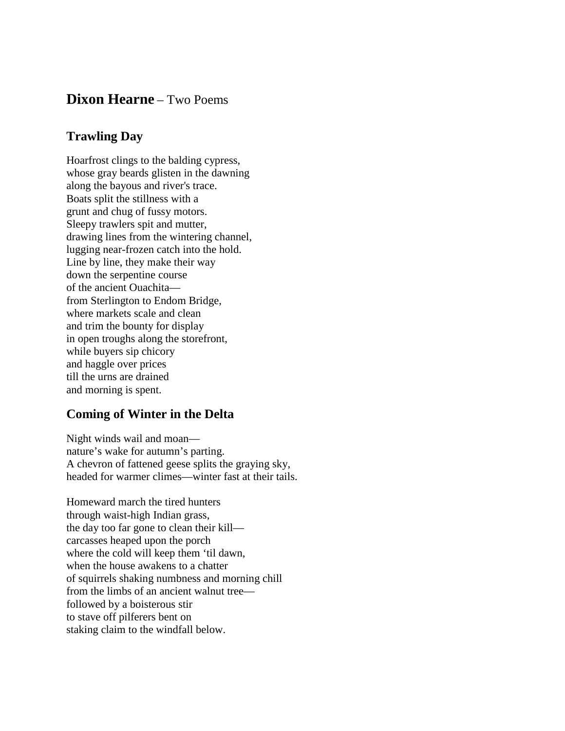## **Dixon Hearne** – Two Poems

## **Trawling Day**

Hoarfrost clings to the balding cypress, whose gray beards glisten in the dawning along the bayous and river's trace. Boats split the stillness with a grunt and chug of fussy motors. Sleepy trawlers spit and mutter, drawing lines from the wintering channel, lugging near-frozen catch into the hold. Line by line, they make their way down the serpentine course of the ancient Ouachita from Sterlington to Endom Bridge, where markets scale and clean and trim the bounty for display in open troughs along the storefront, while buyers sip chicory and haggle over prices till the urns are drained and morning is spent.

## **Coming of Winter in the Delta**

Night winds wail and moan nature's wake for autumn's parting. A chevron of fattened geese splits the graying sky, headed for warmer climes—winter fast at their tails.

Homeward march the tired hunters through waist-high Indian grass, the day too far gone to clean their kill carcasses heaped upon the porch where the cold will keep them 'til dawn, when the house awakens to a chatter of squirrels shaking numbness and morning chill from the limbs of an ancient walnut tree followed by a boisterous stir to stave off pilferers bent on staking claim to the windfall below.